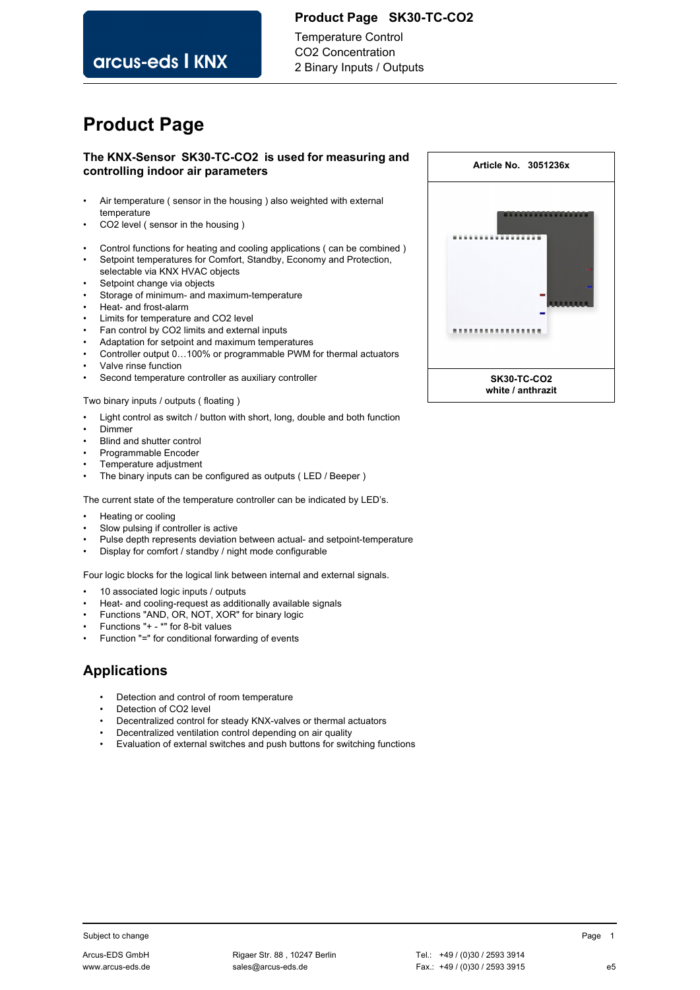### **Product Page SK30-TC-CO2**

arcus-eds I KNX

Temperature Control CO2 Concentration 2 Binary Inputs / Outputs

# **Product Page**

### **The KNX-Sensor SK30-TC-CO2 is used for measuring and controlling indoor air parameters**

- Air temperature ( sensor in the housing ) also weighted with external temperature
- CO2 level ( sensor in the housing )
- Control functions for heating and cooling applications ( can be combined )
- Setpoint temperatures for Comfort, Standby, Economy and Protection,
- selectable via KNX HVAC objects
- Setpoint change via objects
- Storage of minimum- and maximum-temperature
- Heat- and frost-alarm
- Limits for temperature and CO2 level
- Fan control by CO2 limits and external inputs
- Adaptation for setpoint and maximum temperatures
- Controller output 0…100% or programmable PWM for thermal actuators
- Valve rinse function
- Second temperature controller as auxiliary controller

Two binary inputs / outputs ( floating )

- Light control as switch / button with short, long, double and both function
- Dimmer
- Blind and shutter control
- Programmable Encoder
- Temperature adjustment
- The binary inputs can be configured as outputs ( LED / Beeper )

The current state of the temperature controller can be indicated by LED's.

- Heating or cooling
- Slow pulsing if controller is active
- Pulse depth represents deviation between actual- and setpoint-temperature
- Display for comfort / standby / night mode configurable

Four logic blocks for the logical link between internal and external signals.

- 10 associated logic inputs / outputs
- Heat- and cooling-request as additionally available signals
- Functions "AND, OR, NOT, XOR" for binary logic
- Functions "+ \*" for 8-bit values
- Function "=" for conditional forwarding of events

# **Applications**

- Detection and control of room temperature
- Detection of CO2 level
- Decentralized control for steady KNX-valves or thermal actuators
- Decentralized ventilation control depending on air quality
- Evaluation of external switches and push buttons for switching functions

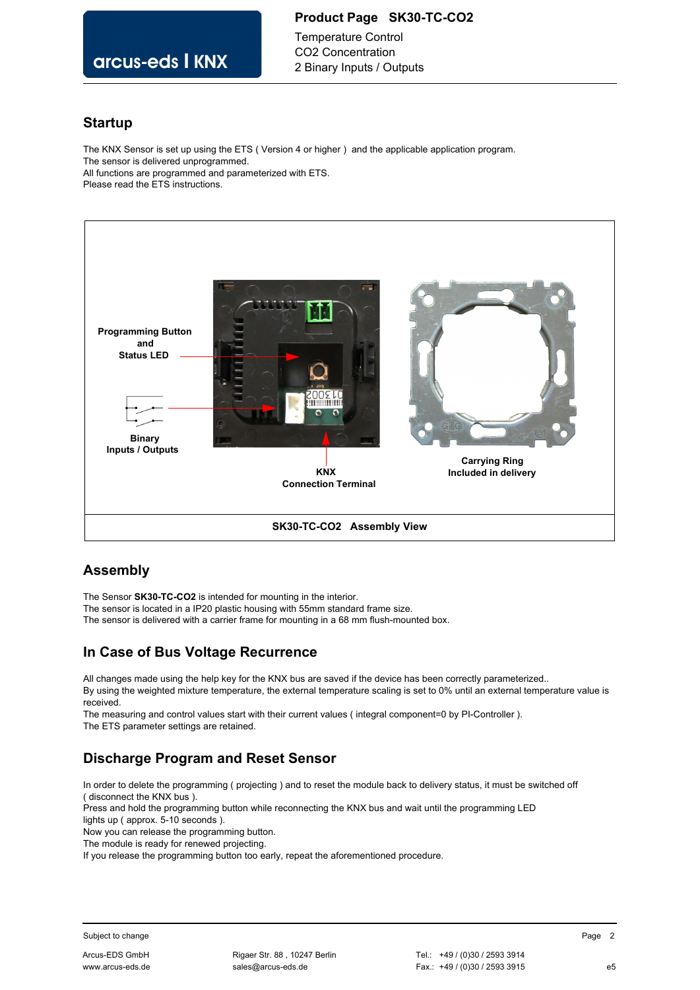### **Product Page SK30-TC-CO2**

Temperature Control CO2 Concentration 2 Binary Inputs / Outputs

# arcus-eds I KNX

### **Startup**

The KNX Sensor is set up using the ETS ( Version 4 or higher ) and the applicable application program. The sensor is delivered unprogrammed. All functions are programmed and parameterized with ETS. Please read the ETS instructions.



## **Assembly**

The Sensor **SK30-TC-CO2** is intended for mounting in the interior.

The sensor is located in a IP20 plastic housing with 55mm standard frame size.

The sensor is delivered with a carrier frame for mounting in a 68 mm flush-mounted box.

# **In Case of Bus Voltage Recurrence**

All changes made using the help key for the KNX bus are saved if the device has been correctly parameterized.. By using the weighted mixture temperature, the external temperature scaling is set to 0% until an external temperature value is received.

The measuring and control values start with their current values ( integral component=0 by PI-Controller ). The ETS parameter settings are retained.

# **Discharge Program and Reset Sensor**

In order to delete the programming ( projecting ) and to reset the module back to delivery status, it must be switched off ( disconnect the KNX bus ).

Press and hold the programming button while reconnecting the KNX bus and wait until the programming LED lights up ( approx. 5-10 seconds ).

Now you can release the programming button.

The module is ready for renewed projecting.

If you release the programming button too early, repeat the aforementioned procedure.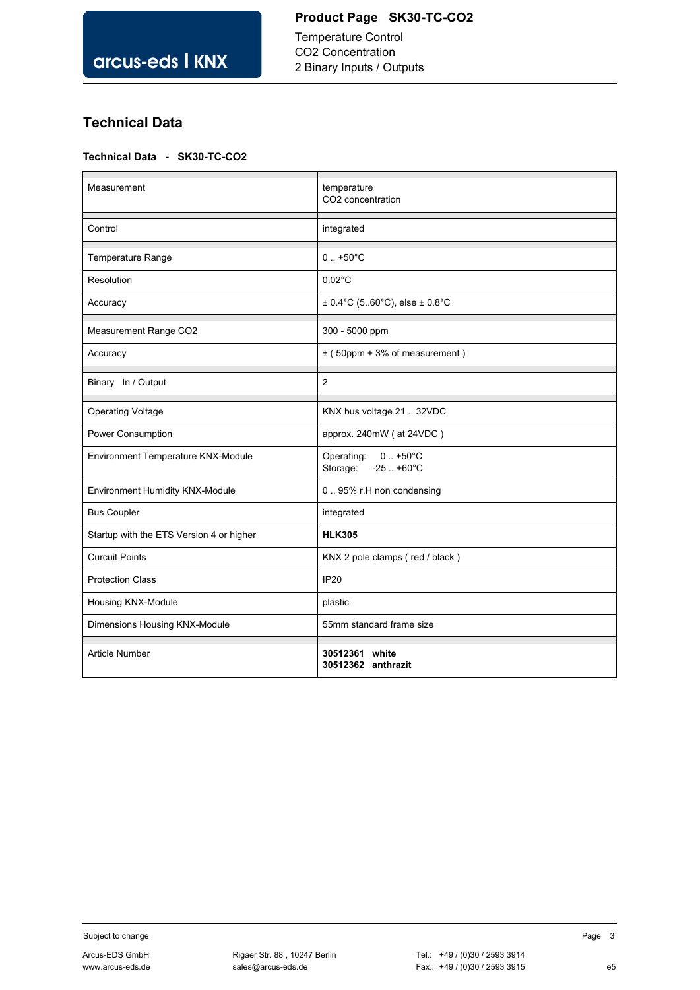2 Binary Inputs / Outputs

# **Technical Data**

### **Technical Data - SK30-TC-CO2**

| Measurement                              | temperature<br>CO <sub>2</sub> concentration            |
|------------------------------------------|---------------------------------------------------------|
| Control                                  | integrated                                              |
| Temperature Range                        | $0. +50^{\circ}$ C                                      |
| Resolution                               | $0.02^{\circ}$ C                                        |
| Accuracy                                 | $\pm$ 0.4°C (560°C), else $\pm$ 0.8°C                   |
| Measurement Range CO2                    | 300 - 5000 ppm                                          |
| Accuracy                                 | $\pm$ (50ppm + 3% of measurement)                       |
| Binary In / Output                       | $\overline{2}$                                          |
| <b>Operating Voltage</b>                 | KNX bus voltage 21  32VDC                               |
| Power Consumption                        | approx. 240mW (at 24VDC)                                |
| Environment Temperature KNX-Module       | Operating:<br>$0.1 + 50^{\circ}C$<br>Storage: -25 +60°C |
| Environment Humidity KNX-Module          | 095% r.H non condensing                                 |
| <b>Bus Coupler</b>                       | integrated                                              |
| Startup with the ETS Version 4 or higher | <b>HLK305</b>                                           |
| <b>Curcuit Points</b>                    | KNX 2 pole clamps (red / black)                         |
| <b>Protection Class</b>                  | <b>IP20</b>                                             |
| Housing KNX-Module                       | plastic                                                 |
| Dimensions Housing KNX-Module            | 55mm standard frame size                                |
| Article Number                           | 30512361 white<br>30512362 anthrazit                    |

Subject to change and the state of the state of the Subject to change and the Page 3